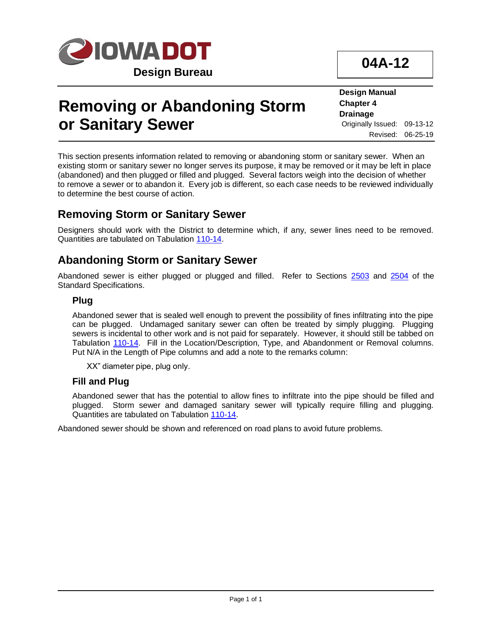

**04A-12**

# **Removing or Abandoning Storm or Sanitary Sewer**

**Design Manual Chapter 4 Drainage** Originally Issued: 09-13-12 Revised: 06-25-19

This section presents information related to removing or abandoning storm or sanitary sewer. When an existing storm or sanitary sewer no longer serves its purpose, it may be removed or it may be left in place (abandoned) and then plugged or filled and plugged. Several factors weigh into the decision of whether to remove a sewer or to abandon it. Every job is different, so each case needs to be reviewed individually to determine the best course of action.

### **Removing Storm or Sanitary Sewer**

Designers should work with the District to determine which, if any, sewer lines need to be removed. Quantities are tabulated on Tabulation [110-14.](../tnt/PDFsandWebFiles/IndividualPDFs/0110-14.pdf)

### **Abandoning Storm or Sanitary Sewer**

Abandoned sewer is either plugged or plugged and filled. Refer to Sections [2503](../../erl/current/GS/content/2503.htm) and [2504](../../erl/current/GS/content/2504.htm) of the Standard Specifications.

#### **Plug**

Abandoned sewer that is sealed well enough to prevent the possibility of fines infiltrating into the pipe can be plugged. Undamaged sanitary sewer can often be treated by simply plugging. Plugging sewers is incidental to other work and is not paid for separately. However, it should still be tabbed on Tabulation [110-14.](../tnt/PDFsandWebFiles/IndividualPDFs/0110-14.pdf) Fill in the Location/Description, Type, and Abandonment or Removal columns. Put N/A in the Length of Pipe columns and add a note to the remarks column:

XX" diameter pipe, plug only.

#### **Fill and Plug**

Abandoned sewer that has the potential to allow fines to infiltrate into the pipe should be filled and plugged. Storm sewer and damaged sanitary sewer will typically require filling and plugging. Quantities are tabulated on Tabulation [110-14.](../tnt/PDFsandWebFiles/IndividualPDFs/0110-14.pdf)

Abandoned sewer should be shown and referenced on road plans to avoid future problems.